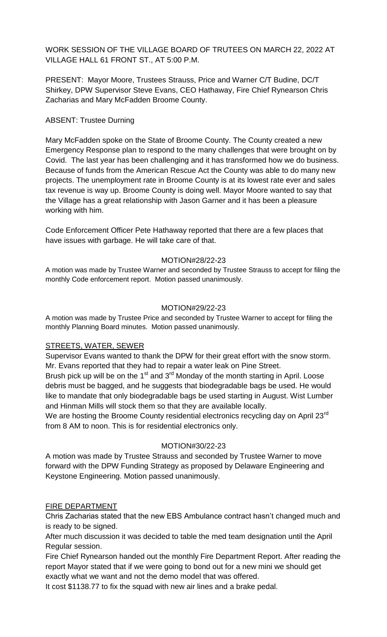WORK SESSION OF THE VILLAGE BOARD OF TRUTEES ON MARCH 22, 2022 AT VILLAGE HALL 61 FRONT ST., AT 5:00 P.M.

PRESENT: Mayor Moore, Trustees Strauss, Price and Warner C/T Budine, DC/T Shirkey, DPW Supervisor Steve Evans, CEO Hathaway, Fire Chief Rynearson Chris Zacharias and Mary McFadden Broome County.

## ABSENT: Trustee Durning

Mary McFadden spoke on the State of Broome County. The County created a new Emergency Response plan to respond to the many challenges that were brought on by Covid. The last year has been challenging and it has transformed how we do business. Because of funds from the American Rescue Act the County was able to do many new projects. The unemployment rate in Broome County is at its lowest rate ever and sales tax revenue is way up. Broome County is doing well. Mayor Moore wanted to say that the Village has a great relationship with Jason Garner and it has been a pleasure working with him.

Code Enforcement Officer Pete Hathaway reported that there are a few places that have issues with garbage. He will take care of that.

#### MOTION#28/22-23

A motion was made by Trustee Warner and seconded by Trustee Strauss to accept for filing the monthly Code enforcement report. Motion passed unanimously.

#### MOTION#29/22-23

A motion was made by Trustee Price and seconded by Trustee Warner to accept for filing the monthly Planning Board minutes. Motion passed unanimously.

## STREETS, WATER, SEWER

Supervisor Evans wanted to thank the DPW for their great effort with the snow storm. Mr. Evans reported that they had to repair a water leak on Pine Street.

Brush pick up will be on the 1<sup>st</sup> and 3<sup>rd</sup> Monday of the month starting in April. Loose debris must be bagged, and he suggests that biodegradable bags be used. He would like to mandate that only biodegradable bags be used starting in August. Wist Lumber and Hinman Mills will stock them so that they are available locally.

We are hosting the Broome County residential electronics recycling day on April 23 $^{\text{rd}}$ from 8 AM to noon. This is for residential electronics only.

#### MOTION#30/22-23

A motion was made by Trustee Strauss and seconded by Trustee Warner to move forward with the DPW Funding Strategy as proposed by Delaware Engineering and Keystone Engineering. Motion passed unanimously.

#### FIRE DEPARTMENT

Chris Zacharias stated that the new EBS Ambulance contract hasn't changed much and is ready to be signed.

After much discussion it was decided to table the med team designation until the April Regular session.

Fire Chief Rynearson handed out the monthly Fire Department Report. After reading the report Mayor stated that if we were going to bond out for a new mini we should get exactly what we want and not the demo model that was offered.

It cost \$1138.77 to fix the squad with new air lines and a brake pedal.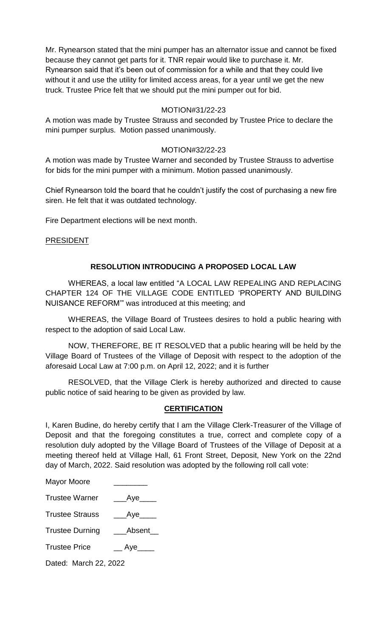Mr. Rynearson stated that the mini pumper has an alternator issue and cannot be fixed because they cannot get parts for it. TNR repair would like to purchase it. Mr. Rynearson said that it's been out of commission for a while and that they could live without it and use the utility for limited access areas, for a year until we get the new truck. Trustee Price felt that we should put the mini pumper out for bid.

### MOTION#31/22-23

A motion was made by Trustee Strauss and seconded by Trustee Price to declare the mini pumper surplus. Motion passed unanimously.

### MOTION#32/22-23

A motion was made by Trustee Warner and seconded by Trustee Strauss to advertise for bids for the mini pumper with a minimum. Motion passed unanimously.

Chief Rynearson told the board that he couldn't justify the cost of purchasing a new fire siren. He felt that it was outdated technology.

Fire Department elections will be next month.

### **PRESIDENT**

### **RESOLUTION INTRODUCING A PROPOSED LOCAL LAW**

WHEREAS, a local law entitled "A LOCAL LAW REPEALING AND REPLACING CHAPTER 124 OF THE VILLAGE CODE ENTITLED 'PROPERTY AND BUILDING NUISANCE REFORM'" was introduced at this meeting; and

WHEREAS, the Village Board of Trustees desires to hold a public hearing with respect to the adoption of said Local Law.

NOW, THEREFORE, BE IT RESOLVED that a public hearing will be held by the Village Board of Trustees of the Village of Deposit with respect to the adoption of the aforesaid Local Law at 7:00 p.m. on April 12, 2022; and it is further

RESOLVED, that the Village Clerk is hereby authorized and directed to cause public notice of said hearing to be given as provided by law.

# **CERTIFICATION**

I, Karen Budine, do hereby certify that I am the Village Clerk-Treasurer of the Village of Deposit and that the foregoing constitutes a true, correct and complete copy of a resolution duly adopted by the Village Board of Trustees of the Village of Deposit at a meeting thereof held at Village Hall, 61 Front Street, Deposit, New York on the 22nd day of March, 2022. Said resolution was adopted by the following roll call vote:

| <b>Mayor Moore</b> |  |
|--------------------|--|
|--------------------|--|

| <b>Trustee Warner</b> | __Aye |
|-----------------------|-------|
|-----------------------|-------|

Trustee Strauss \_\_\_\_Aye\_\_\_\_

Trustee Durning \_\_\_\_Absent\_\_

Trustee Price \_\_\_\_\_\_ Aye\_\_\_\_\_

Dated: March 22, 2022